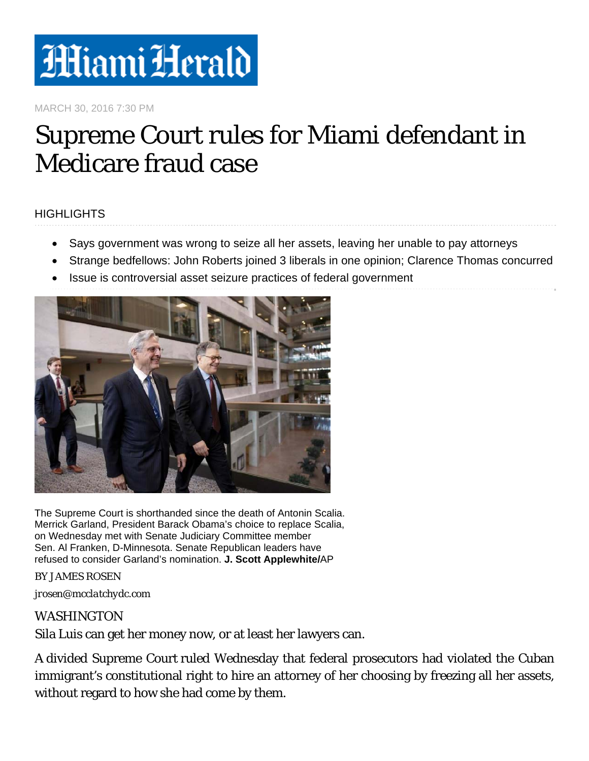

MARCH 30, 2016 7:30 PM

## Supreme Court rules for Miami defendant in Medicare fraud case

## **HIGHLIGHTS**

- Says government was wrong to seize all her assets, leaving her unable to pay attorneys
- Strange bedfellows: John Roberts joined 3 liberals in one opinion; Clarence Thomas concurred
- Issue is controversial asset seizure practices of federal government



The Supreme Court is shorthanded since the death of Antonin Scalia. Merrick Garland, President Barack Obama's choice to replace Scalia, on Wednesday met with Senate Judiciary Committee member Sen. Al Franken, D-Minnesota. Senate Republican leaders have refused to consider Garland's nomination. **J. Scott Applewhite/**AP

BY JAMES ROSEN

*jrosen@mcclatchydc.com* 

## WASHINGTON

Sila Luis can get her money now, or at least her lawyers can.

A divided Supreme Court ruled Wednesday that federal prosecutors had violated the Cuban immigrant's constitutional right to hire an attorney of her choosing by freezing all her assets, without regard to how she had come by them.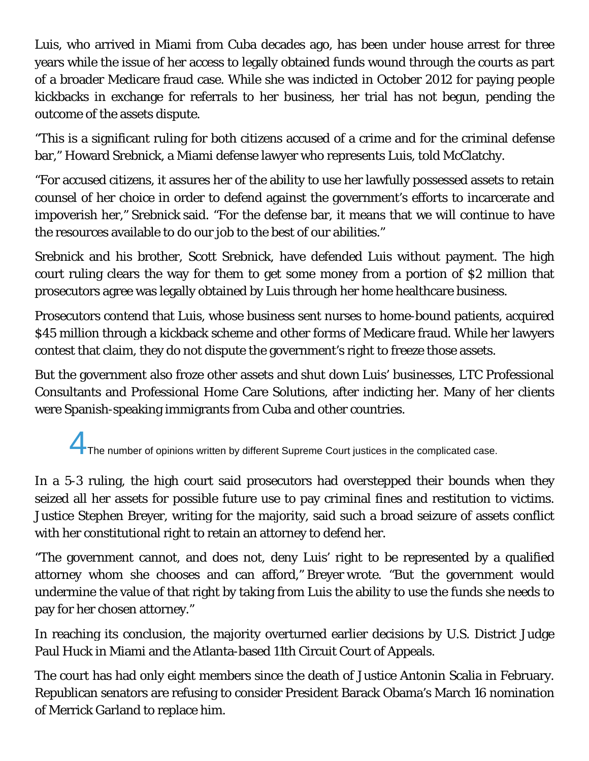Luis, who arrived in Miami from Cuba decades ago, has been under house arrest for three years while the issue of her access to legally obtained funds wound through the courts as part of a broader Medicare fraud case. While she was indicted in October 2012 for paying people kickbacks in exchange for referrals to her business, her trial has not begun, pending the outcome of the assets dispute.

"This is a significant ruling for both citizens accused of a crime and for the criminal defense bar," Howard Srebnick, a Miami defense lawyer who represents Luis, told McClatchy.

"For accused citizens, it assures her of the ability to use her lawfully possessed assets to retain counsel of her choice in order to defend against the government's efforts to incarcerate and impoverish her," Srebnick said. "For the defense bar, it means that we will continue to have the resources available to do our job to the best of our abilities."

Srebnick and his brother, Scott Srebnick, have defended Luis without payment. The high court ruling clears the way for them to get some money from a portion of \$2 million that prosecutors agree was legally obtained by Luis through her home healthcare business.

Prosecutors contend that Luis, whose business sent nurses to home-bound patients, acquired \$45 million through a kickback scheme and other forms of Medicare fraud. While her lawyers contest that claim, they do not dispute the government's right to freeze those assets.

But the government also froze other assets and shut down Luis' businesses, LTC Professional Consultants and Professional Home Care Solutions, after indicting her. Many of her clients were Spanish-speaking immigrants from Cuba and other countries.

The number of opinions written by different Supreme Court justices in the complicated case.

In a 5-3 ruling, the high court said prosecutors had overstepped their bounds when they seized all her assets for possible future use to pay criminal fines and restitution to victims. Justice Stephen Breyer, writing for the majority, said such a broad seizure of assets conflict with her constitutional right to retain an attorney to defend her.

"The government cannot, and does not, deny Luis' right to be represented by a qualified attorney whom she chooses and can afford," Breyer wrote. "But the government would undermine the value of that right by taking from Luis the ability to use the funds she needs to pay for her chosen attorney."

In reaching its conclusion, the majority overturned earlier decisions by U.S. District Judge Paul Huck in Miami and the Atlanta-based 11th Circuit Court of Appeals.

The court has had only eight members since the death of Justice Antonin Scalia in February. Republican senators are refusing to consider President Barack Obama's March 16 nomination of Merrick Garland to replace him.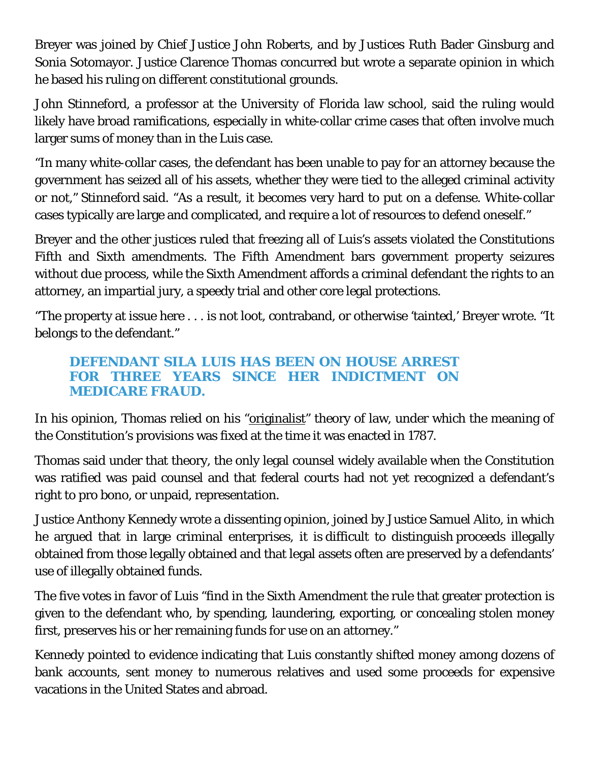Breyer was joined by Chief Justice John Roberts, and by Justices Ruth Bader Ginsburg and Sonia Sotomayor. Justice Clarence Thomas concurred but wrote a separate opinion in which he based his ruling on different constitutional grounds.

John Stinneford, a professor at the University of Florida law school, said the ruling would likely have broad ramifications, especially in white-collar crime cases that often involve much larger sums of money than in the Luis case.

"In many white-collar cases, the defendant has been unable to pay for an attorney because the government has seized all of his assets, whether they were tied to the alleged criminal activity or not," Stinneford said. "As a result, it becomes very hard to put on a defense. White-collar cases typically are large and complicated, and require a lot of resources to defend oneself."

Breyer and the other justices ruled that freezing all of Luis's assets violated the Constitutions Fifth and Sixth amendments. The Fifth Amendment bars government property seizures without due process, while the Sixth Amendment affords a criminal defendant the rights to an attorney, an impartial jury, a speedy trial and other core legal protections.

"The property at issue here . . . is not loot, contraband, or otherwise 'tainted,' Breyer wrote. "It belongs to the defendant."

## **DEFENDANT SILA LUIS HAS BEEN ON HOUSE ARREST FOR THREE YEARS SINCE HER INDICTMENT ON MEDICARE FRAUD.**

In his opinion, Thomas relied on his "originalist" theory of law, under which the meaning of the Constitution's provisions was fixed at the time it was enacted in 1787.

Thomas said under that theory, the only legal counsel widely available when the Constitution was ratified was paid counsel and that federal courts had not yet recognized a defendant's right to pro bono, or unpaid, representation.

Justice Anthony Kennedy wrote a dissenting opinion, joined by Justice Samuel Alito, in which he argued that in large criminal enterprises, it is difficult to distinguish proceeds illegally obtained from those legally obtained and that legal assets often are preserved by a defendants' use of illegally obtained funds.

The five votes in favor of Luis "find in the Sixth Amendment the rule that greater protection is given to the defendant who, by spending, laundering, exporting, or concealing stolen money first, preserves his or her remaining funds for use on an attorney."

Kennedy pointed to evidence indicating that Luis constantly shifted money among dozens of bank accounts, sent money to numerous relatives and used some proceeds for expensive vacations in the United States and abroad.